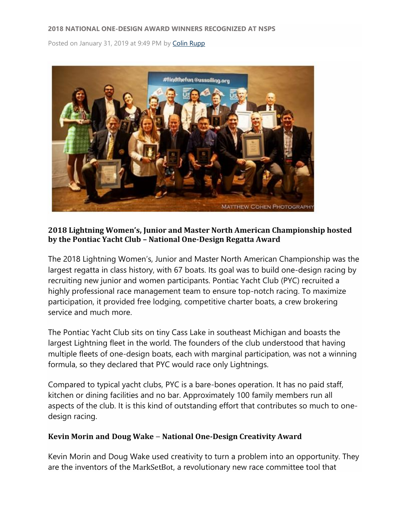Posted on January 31, 2019 at 9:49 PM by [Colin Rupp](https://www.ussailing.org/news/author/crupp/)



# **2018 Lightning Women's, Junior and Master North American Championship hosted by the Pontiac Yacht Club – National One-Design Regatta Award**

The 2018 Lightning Women's, Junior and Master North American Championship was the largest regatta in class history, with 67 boats. Its goal was to build one-design racing by recruiting new junior and women participants. Pontiac Yacht Club (PYC) recruited a highly professional race management team to ensure top-notch racing. To maximize participation, it provided free lodging, competitive charter boats, a crew brokering service and much more.

The Pontiac Yacht Club sits on tiny Cass Lake in southeast Michigan and boasts the largest Lightning fleet in the world. The founders of the club understood that having multiple fleets of one-design boats, each with marginal participation, was not a winning formula, so they declared that PYC would race only Lightnings.

Compared to typical yacht clubs, PYC is a bare-bones operation. It has no paid staff, kitchen or dining facilities and no bar. Approximately 100 family members run all aspects of the club. It is this kind of outstanding effort that contributes so much to onedesign racing.

# **Kevin Morin and Doug Wake** – **National One-Design Creativity Award**

Kevin Morin and Doug Wake used creativity to turn a problem into an opportunity. They are the inventors of the MarkSetBot, a revolutionary new race committee tool that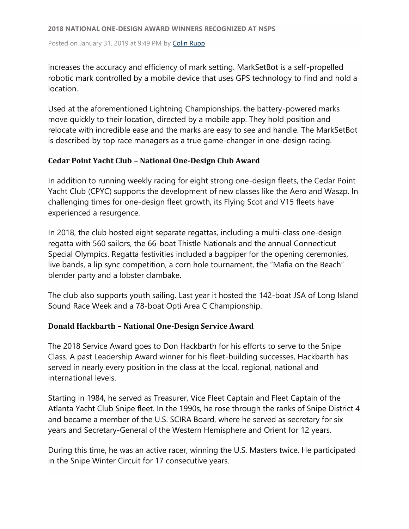Posted on January 31, 2019 at 9:49 PM by [Colin Rupp](https://www.ussailing.org/news/author/crupp/)

increases the accuracy and efficiency of mark setting. MarkSetBot is a self-propelled robotic mark controlled by a mobile device that uses GPS technology to find and hold a location.

Used at the aforementioned Lightning Championships, the battery-powered marks move quickly to their location, directed by a mobile app. They hold position and relocate with incredible ease and the marks are easy to see and handle. The MarkSetBot is described by top race managers as a true game-changer in one-design racing.

# **Cedar Point Yacht Club – National One-Design Club Award**

In addition to running weekly racing for eight strong one-design fleets, the Cedar Point Yacht Club (CPYC) supports the development of new classes like the Aero and Waszp. In challenging times for one-design fleet growth, its Flying Scot and V15 fleets have experienced a resurgence.

In 2018, the club hosted eight separate regattas, including a multi-class one-design regatta with 560 sailors, the 66-boat Thistle Nationals and the annual Connecticut Special Olympics. Regatta festivities included a bagpiper for the opening ceremonies, live bands, a lip sync competition, a corn hole tournament, the "Mafia on the Beach" blender party and a lobster clambake.

The club also supports youth sailing. Last year it hosted the 142-boat JSA of Long Island Sound Race Week and a 78-boat Opti Area C Championship.

# **Donald Hackbarth – National One-Design Service Award**

The 2018 Service Award goes to Don Hackbarth for his efforts to serve to the Snipe Class. A past Leadership Award winner for his fleet-building successes, Hackbarth has served in nearly every position in the class at the local, regional, national and international levels.

Starting in 1984, he served as Treasurer, Vice Fleet Captain and Fleet Captain of the Atlanta Yacht Club Snipe fleet. In the 1990s, he rose through the ranks of Snipe District 4 and became a member of the U.S. SCIRA Board, where he served as secretary for six years and Secretary-General of the Western Hemisphere and Orient for 12 years.

During this time, he was an active racer, winning the U.S. Masters twice. He participated in the Snipe Winter Circuit for 17 consecutive years.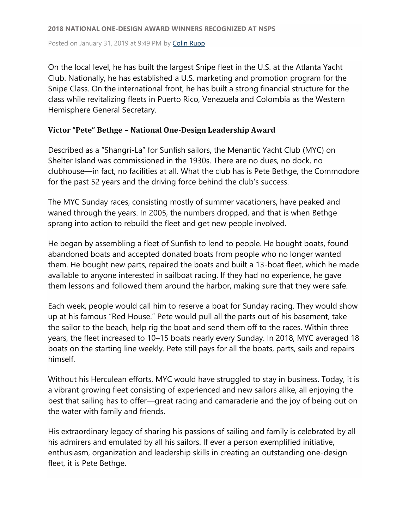Posted on January 31, 2019 at 9:49 PM by [Colin Rupp](https://www.ussailing.org/news/author/crupp/)

On the local level, he has built the largest Snipe fleet in the U.S. at the Atlanta Yacht Club. Nationally, he has established a U.S. marketing and promotion program for the Snipe Class. On the international front, he has built a strong financial structure for the class while revitalizing fleets in Puerto Rico, Venezuela and Colombia as the Western Hemisphere General Secretary.

# **Victor "Pete" Bethge – National One-Design Leadership Award**

Described as a "Shangri-La" for Sunfish sailors, the Menantic Yacht Club (MYC) on Shelter Island was commissioned in the 1930s. There are no dues, no dock, no clubhouse—in fact, no facilities at all. What the club has is Pete Bethge, the Commodore for the past 52 years and the driving force behind the club's success.

The MYC Sunday races, consisting mostly of summer vacationers, have peaked and waned through the years. In 2005, the numbers dropped, and that is when Bethge sprang into action to rebuild the fleet and get new people involved.

He began by assembling a fleet of Sunfish to lend to people. He bought boats, found abandoned boats and accepted donated boats from people who no longer wanted them. He bought new parts, repaired the boats and built a 13-boat fleet, which he made available to anyone interested in sailboat racing. If they had no experience, he gave them lessons and followed them around the harbor, making sure that they were safe.

Each week, people would call him to reserve a boat for Sunday racing. They would show up at his famous "Red House." Pete would pull all the parts out of his basement, take the sailor to the beach, help rig the boat and send them off to the races. Within three years, the fleet increased to 10–15 boats nearly every Sunday. In 2018, MYC averaged 18 boats on the starting line weekly. Pete still pays for all the boats, parts, sails and repairs himself.

Without his Herculean efforts, MYC would have struggled to stay in business. Today, it is a vibrant growing fleet consisting of experienced and new sailors alike, all enjoying the best that sailing has to offer—great racing and camaraderie and the joy of being out on the water with family and friends.

His extraordinary legacy of sharing his passions of sailing and family is celebrated by all his admirers and emulated by all his sailors. If ever a person exemplified initiative, enthusiasm, organization and leadership skills in creating an outstanding one-design fleet, it is Pete Bethge.